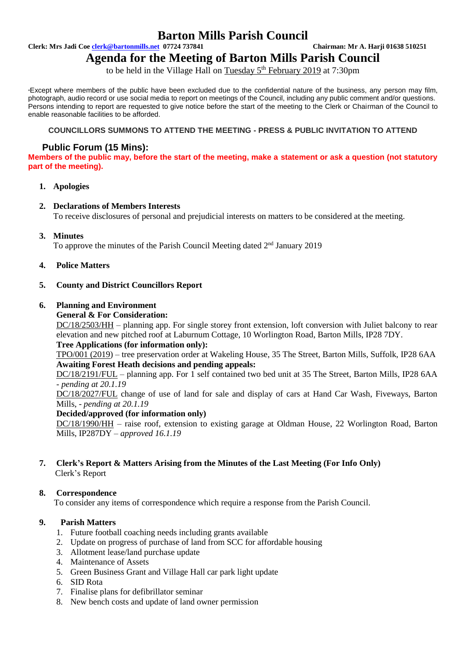# **Barton Mills Parish Council**

**Clerk: Mrs Jadi Coe [clerk@bartonmills.net](mailto:clerk@bartonmills.net) 07724 737841 Chairman: Mr A. Harji 01638 510251**

**Agenda for the Meeting of Barton Mills Parish Council**

to be held in the Village Hall on <u>Tuesday 5<sup>th</sup> February 2019</u> at 7:30pm

\*Except where members of the public have been excluded due to the confidential nature of the business, any person may film, photograph, audio record or use social media to report on meetings of the Council, including any public comment and/or questions. Persons intending to report are requested to give notice before the start of the meeting to the Clerk or Chairman of the Council to enable reasonable facilities to be afforded.

## **COUNCILLORS SUMMONS TO ATTEND THE MEETING - PRESS & PUBLIC INVITATION TO ATTEND**

# **Public Forum (15 Mins):**

**Members of the public may, before the start of the meeting, make a statement or ask a question (not statutory part of the meeting).**

## **1. Apologies**

## **2. Declarations of Members Interests**

To receive disclosures of personal and prejudicial interests on matters to be considered at the meeting.

**3. Minutes**

To approve the minutes of the Parish Council Meeting dated  $2<sup>nd</sup>$  January 2019

**4. Police Matters**

## **5. County and District Councillors Report**

# **6. Planning and Environment**

**General & For Consideration:**

DC/18/2503/HH – planning app. For single storey front extension, loft conversion with Juliet balcony to rear elevation and new pitched roof at Laburnum Cottage, 10 Worlington Road, Barton Mills, IP28 7DY. **Tree Applications (for information only):**

TPO/001 (2019) – tree preservation order at Wakeling House, 35 The Street, Barton Mills, Suffolk, IP28 6AA **Awaiting Forest Heath decisions and pending appeals:**

DC/18/2191/FUL – planning app. For 1 self contained two bed unit at 35 The Street, Barton Mills, IP28 6AA *- pending at 20.1.19*

DC/18/2027/FUL change of use of land for sale and display of cars at Hand Car Wash, Fiveways, Barton Mills, - *pending at 20.1.19*

#### **Decided/approved (for information only)**

DC/18/1990/HH – raise roof, extension to existing garage at Oldman House, 22 Worlington Road, Barton Mills, IP287DY – *approved 16.1.19*

**7. Clerk's Report & Matters Arising from the Minutes of the Last Meeting (For Info Only)** Clerk's Report

# **8. Correspondence**

To consider any items of correspondence which require a response from the Parish Council.

#### **9. Parish Matters**

- 1. Future football coaching needs including grants available
- 2. Update on progress of purchase of land from SCC for affordable housing
- 3. Allotment lease/land purchase update
- 4. Maintenance of Assets
- 5. Green Business Grant and Village Hall car park light update
- 6. SID Rota
- 7. Finalise plans for defibrillator seminar
- 8. New bench costs and update of land owner permission